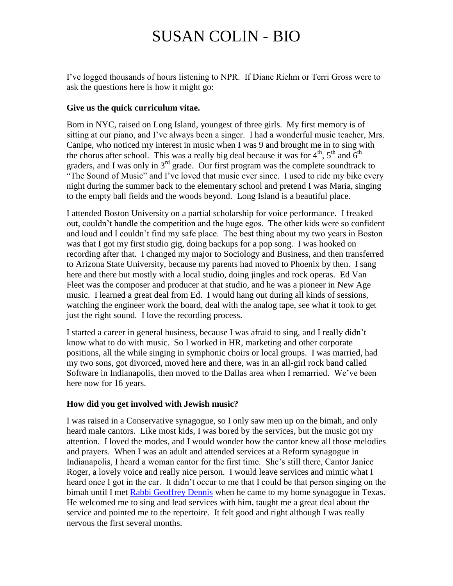I've logged thousands of hours listening to NPR. If Diane Riehm or Terri Gross were to ask the questions here is how it might go:

## **Give us the quick curriculum vitae.**

Born in NYC, raised on Long Island, youngest of three girls. My first memory is of sitting at our piano, and I've always been a singer. I had a wonderful music teacher, Mrs. Canipe, who noticed my interest in music when I was 9 and brought me in to sing with the chorus after school. This was a really big deal because it was for  $4<sup>th</sup>$ ,  $5<sup>th</sup>$  and  $6<sup>th</sup>$ graders, and I was only in  $3<sup>rd</sup>$  grade. Our first program was the complete soundtrack to "The Sound of Music" and I've loved that music ever since. I used to ride my bike every night during the summer back to the elementary school and pretend I was Maria, singing to the empty ball fields and the woods beyond. Long Island is a beautiful place.

I attended Boston University on a partial scholarship for voice performance. I freaked out, couldn't handle the competition and the huge egos. The other kids were so confident and loud and I couldn't find my safe place. The best thing about my two years in Boston was that I got my first studio gig, doing backups for a pop song. I was hooked on recording after that. I changed my major to Sociology and Business, and then transferred to Arizona State University, because my parents had moved to Phoenix by then. I sang here and there but mostly with a local studio, doing jingles and rock operas. Ed Van Fleet was the composer and producer at that studio, and he was a pioneer in New Age music. I learned a great deal from Ed. I would hang out during all kinds of sessions, watching the engineer work the board, deal with the analog tape, see what it took to get just the right sound. I love the recording process.

I started a career in general business, because I was afraid to sing, and I really didn't know what to do with music. So I worked in HR, marketing and other corporate positions, all the while singing in symphonic choirs or local groups. I was married, had my two sons, got divorced, moved here and there, was in an all-girl rock band called Software in Indianapolis, then moved to the Dallas area when I remarried. We've been here now for 16 years.

### **How did you get involved with Jewish music?**

I was raised in a Conservative synagogue, so I only saw men up on the bimah, and only heard male cantors. Like most kids, I was bored by the services, but the music got my attention. I loved the modes, and I would wonder how the cantor knew all those melodies and prayers. When I was an adult and attended services at a Reform synagogue in Indianapolis, I heard a woman cantor for the first time. She's still there, Cantor Janice Roger, a lovely voice and really nice person. I would leave services and mimic what I heard once I got in the car. It didn't occur to me that I could be that person singing on the bimah until I met [Rabbi Geoffrey Dennis](http://dracontius.net/ragwad/ejmmm/) when he came to my home synagogue in Texas. He welcomed me to sing and lead services with him, taught me a great deal about the service and pointed me to the repertoire. It felt good and right although I was really nervous the first several months.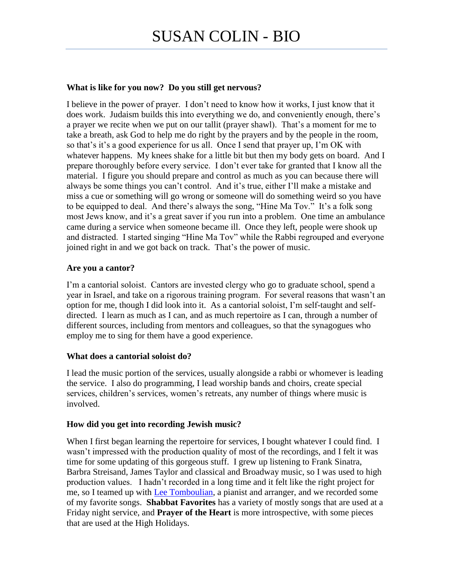# **What is like for you now? Do you still get nervous?**

I believe in the power of prayer. I don't need to know how it works, I just know that it does work. Judaism builds this into everything we do, and conveniently enough, there's a prayer we recite when we put on our tallit (prayer shawl). That's a moment for me to take a breath, ask God to help me do right by the prayers and by the people in the room, so that's it's a good experience for us all. Once I send that prayer up, I'm OK with whatever happens. My knees shake for a little bit but then my body gets on board. And I prepare thoroughly before every service. I don't ever take for granted that I know all the material. I figure you should prepare and control as much as you can because there will always be some things you can't control. And it's true, either I'll make a mistake and miss a cue or something will go wrong or someone will do something weird so you have to be equipped to deal. And there's always the song, "Hine Ma Tov." It's a folk song most Jews know, and it's a great saver if you run into a problem. One time an ambulance came during a service when someone became ill. Once they left, people were shook up and distracted. I started singing "Hine Ma Tov" while the Rabbi regrouped and everyone joined right in and we got back on track. That's the power of music.

# **Are you a cantor?**

I'm a cantorial soloist. Cantors are invested clergy who go to graduate school, spend a year in Israel, and take on a rigorous training program. For several reasons that wasn't an option for me, though I did look into it. As a cantorial soloist, I'm self-taught and selfdirected. I learn as much as I can, and as much repertoire as I can, through a number of different sources, including from mentors and colleagues, so that the synagogues who employ me to sing for them have a good experience.

### **What does a cantorial soloist do?**

I lead the music portion of the services, usually alongside a rabbi or whomever is leading the service. I also do programming, I lead worship bands and choirs, create special services, children's services, women's retreats, any number of things where music is involved.

### **How did you get into recording Jewish music?**

When I first began learning the repertoire for services, I bought whatever I could find. I wasn't impressed with the production quality of most of the recordings, and I felt it was time for some updating of this gorgeous stuff. I grew up listening to Frank Sinatra, Barbra Streisand, James Taylor and classical and Broadway music, so I was used to high production values. I hadn't recorded in a long time and it felt like the right project for me, so I teamed up with [Lee Tomboulian,](http://www.reverbnation.com/leetomboulian) a pianist and arranger, and we recorded some of my favorite songs. **Shabbat Favorites** has a variety of mostly songs that are used at a Friday night service, and **Prayer of the Heart** is more introspective, with some pieces that are used at the High Holidays.